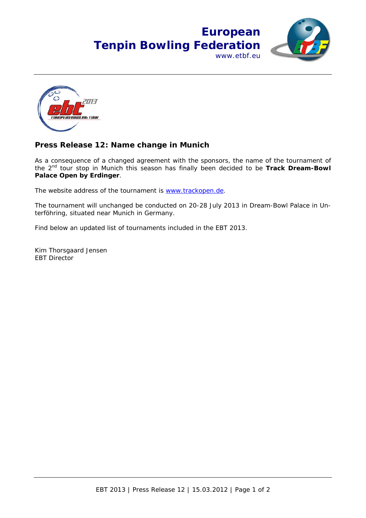## **European Tenpin Bowling Federation** www.etbf.eu





## **Press Release 12: Name change in Munich**

As a consequence of a changed agreement with the sponsors, the name of the tournament of the 2nd tour stop in Munich this season has finally been decided to be **Track Dream-Bowl Palace Open by Erdinger**.

The website address of the tournament is www.trackopen.de.

The tournament will unchanged be conducted on 20-28 July 2013 in Dream-Bowl Palace in Unterföhring, situated near Munich in Germany.

Find below an updated list of tournaments included in the EBT 2013.

Kim Thorsgaard Jensen EBT Director